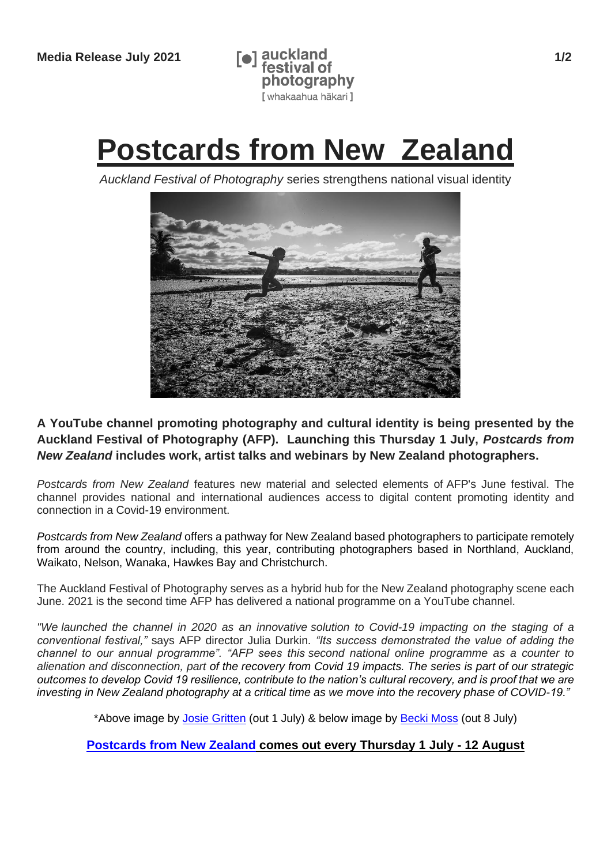

# **Postcards from New Zealand**

*Auckland Festival of Photography* series strengthens national visual identity



**A YouTube channel promoting photography and cultural identity is being presented by the Auckland Festival of Photography (AFP). Launching this Thursday 1 July,** *Postcards from New Zealand* **includes work, artist talks and webinars by New Zealand photographers.**

*Postcards from New Zealand* features new material and selected elements of AFP's June festival. The channel provides national and international audiences access to digital content promoting identity and connection in a Covid-19 environment.

*Postcards from New Zealand* offers a pathway for New Zealand based photographers to participate remotely from around the country, including, this year, contributing photographers based in Northland, Auckland, Waikato, Nelson, Wanaka, Hawkes Bay and Christchurch.

The Auckland Festival of Photography serves as a hybrid hub for the New Zealand photography scene each June. 2021 is the second time AFP has delivered a national programme on a YouTube channel.

*"We launched the channel in 2020 as an innovative solution to Covid-19 impacting on the staging of a conventional festival,"* says AFP director Julia Durkin*. "Its success demonstrated the value of adding the channel to our annual programme". "AFP sees this second national online programme as a counter to alienation and disconnection, part of the recovery from Covid 19 impacts. The series is part of our strategic outcomes to develop Covid 19 resilience, contribute to the nation's cultural recovery, and is proof that we are investing in New Zealand photography at a critical time as we move into the recovery phase of COVID-19."*

\*Above image by [Josie Gritten](https://www.josiegrittenphotography.com/) (out 1 July) & below image by [Becki Moss](https://www.beckimoss.co.nz/about) (out 8 July)

#### **[Postcards from New Zealand](https://photographyfestival.org.nz/festival-tv/index.cfm) comes out every Thursday 1 July - 12 August**